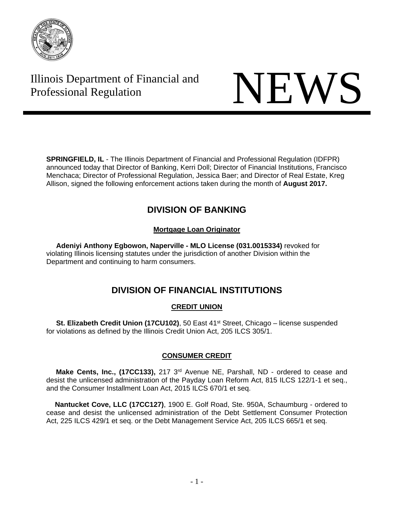

# Illinois Department of Financial and Illinois Department of Financial and<br>Professional Regulation NEWS



**SPRINGFIELD, IL** - The Illinois Department of Financial and Professional Regulation (IDFPR) announced today that Director of Banking, Kerri Doll; Director of Financial Institutions, Francisco Menchaca; Director of Professional Regulation, Jessica Baer; and Director of Real Estate, Kreg Allison, signed the following enforcement actions taken during the month of **August 2017.** 

# **DIVISION OF BANKING**

# **Mortgage Loan Originator**

 **Adeniyi Anthony Egbowon, Naperville - MLO License (031.0015334)** revoked for violating Illinois licensing statutes under the jurisdiction of another Division within the Department and continuing to harm consumers.

# **DIVISION OF FINANCIAL INSTITUTIONS**

# **CREDIT UNION**

**St. Elizabeth Credit Union (17CU102)**, 50 East 41<sup>st</sup> Street, Chicago – license suspended for violations as defined by the Illinois Credit Union Act, 205 ILCS 305/1.

# **CONSUMER CREDIT**

**Make Cents, Inc., (17CC133),** 217 3<sup>rd</sup> Avenue NE, Parshall, ND - ordered to cease and desist the unlicensed administration of the Payday Loan Reform Act, 815 ILCS 122/1-1 et seq., and the Consumer Installment Loan Act, 2015 ILCS 670/1 et seq.

 **Nantucket Cove, LLC (17CC127)**, 1900 E. Golf Road, Ste. 950A, Schaumburg - ordered to cease and desist the unlicensed administration of the Debt Settlement Consumer Protection Act, 225 ILCS 429/1 et seq. or the Debt Management Service Act, 205 ILCS 665/1 et seq.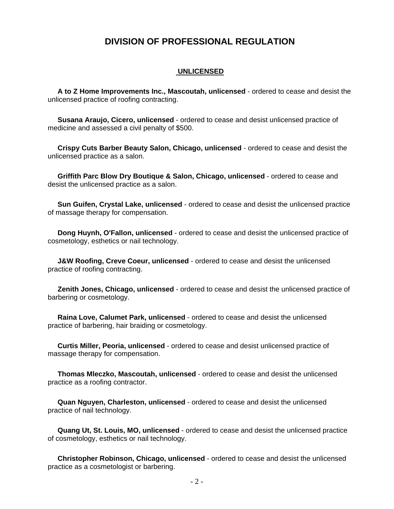# **DIVISION OF PROFESSIONAL REGULATION**

#### **UNLICENSED**

 **A to Z Home Improvements Inc., Mascoutah, unlicensed** - ordered to cease and desist the unlicensed practice of roofing contracting.

 **Susana Araujo, Cicero, unlicensed** - ordered to cease and desist unlicensed practice of medicine and assessed a civil penalty of \$500.

 **Crispy Cuts Barber Beauty Salon, Chicago, unlicensed** - ordered to cease and desist the unlicensed practice as a salon.

 **Griffith Parc Blow Dry Boutique & Salon, Chicago, unlicensed** - ordered to cease and desist the unlicensed practice as a salon.

 **Sun Guifen, Crystal Lake, unlicensed** - ordered to cease and desist the unlicensed practice of massage therapy for compensation.

 **Dong Huynh, O'Fallon, unlicensed** - ordered to cease and desist the unlicensed practice of cosmetology, esthetics or nail technology.

 **J&W Roofing, Creve Coeur, unlicensed** - ordered to cease and desist the unlicensed practice of roofing contracting.

 **Zenith Jones, Chicago, unlicensed** - ordered to cease and desist the unlicensed practice of barbering or cosmetology.

 **Raina Love, Calumet Park, unlicensed** - ordered to cease and desist the unlicensed practice of barbering, hair braiding or cosmetology.

 **Curtis Miller, Peoria, unlicensed** - ordered to cease and desist unlicensed practice of massage therapy for compensation.

 **Thomas Mleczko, Mascoutah, unlicensed** - ordered to cease and desist the unlicensed practice as a roofing contractor.

 **Quan Nguyen, Charleston, unlicensed** - ordered to cease and desist the unlicensed practice of nail technology.

 **Quang Ut, St. Louis, MO, unlicensed** - ordered to cease and desist the unlicensed practice of cosmetology, esthetics or nail technology.

 **Christopher Robinson, Chicago, unlicensed** - ordered to cease and desist the unlicensed practice as a cosmetologist or barbering.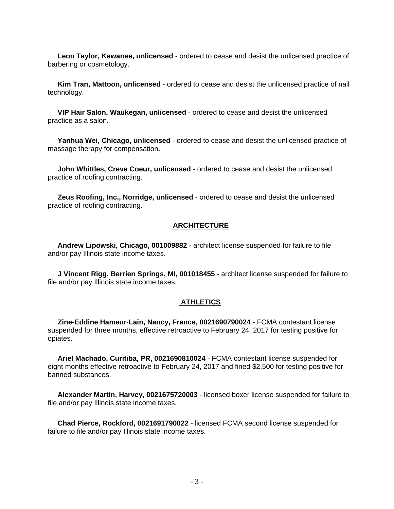**Leon Taylor, Kewanee, unlicensed** - ordered to cease and desist the unlicensed practice of barbering or cosmetology.

 **Kim Tran, Mattoon, unlicensed** - ordered to cease and desist the unlicensed practice of nail technology.

 **VIP Hair Salon, Waukegan, unlicensed** - ordered to cease and desist the unlicensed practice as a salon.

 **Yanhua Wei, Chicago, unlicensed** - ordered to cease and desist the unlicensed practice of massage therapy for compensation.

 **John Whittles, Creve Coeur, unlicensed** - ordered to cease and desist the unlicensed practice of roofing contracting.

 **Zeus Roofing, Inc., Norridge, unlicensed** - ordered to cease and desist the unlicensed practice of roofing contracting.

#### **ARCHITECTURE**

 **Andrew Lipowski, Chicago, 001009882** - architect license suspended for failure to file and/or pay Illinois state income taxes.

 **J Vincent Rigg, Berrien Springs, MI, 001018455** - architect license suspended for failure to file and/or pay Illinois state income taxes.

#### **ATHLETICS**

 **Zine-Eddine Hameur-Lain, Nancy, France, 0021690790024** - FCMA contestant license suspended for three months, effective retroactive to February 24, 2017 for testing positive for opiates.

 **Ariel Machado, Curitiba, PR, 0021690810024** - FCMA contestant license suspended for eight months effective retroactive to February 24, 2017 and fined \$2,500 for testing positive for banned substances.

 **Alexander Martin, Harvey, 0021675720003** - licensed boxer license suspended for failure to file and/or pay Illinois state income taxes.

 **Chad Pierce, Rockford, 0021691790022** - licensed FCMA second license suspended for failure to file and/or pay Illinois state income taxes.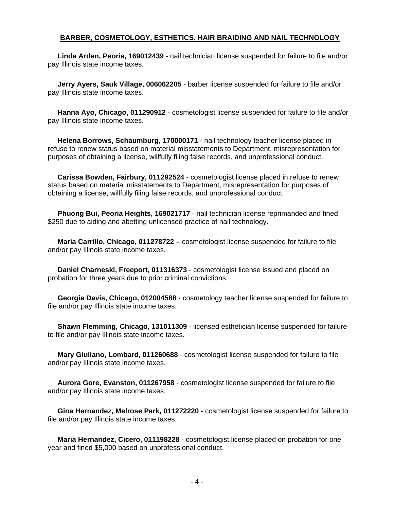#### **BARBER, COSMETOLOGY, ESTHETICS, HAIR BRAIDING AND NAIL TECHNOLOGY**

 **Linda Arden, Peoria, 169012439** - nail technician license suspended for failure to file and/or pay Illinois state income taxes.

 **Jerry Ayers, Sauk Village, 006062205** - barber license suspended for failure to file and/or pay Illinois state income taxes.

 **Hanna Ayo, Chicago, 011290912** - cosmetologist license suspended for failure to file and/or pay Illinois state income taxes.

 **Helena Borrows, Schaumburg, 170000171** - nail technology teacher license placed in refuse to renew status based on material misstatements to Department, misrepresentation for purposes of obtaining a license, willfully filing false records, and unprofessional conduct.

 **Carissa Bowden, Fairbury, 011292524** - cosmetologist license placed in refuse to renew status based on material misstatements to Department, misrepresentation for purposes of obtaining a license, willfully filing false records, and unprofessional conduct.

 **Phuong Bui, Peoria Heights, 169021717** - nail technician license reprimanded and fined \$250 due to aiding and abetting unlicensed practice of nail technology.

 **Maria Carrillo, Chicago, 011278722** – cosmetologist license suspended for failure to file and/or pay Illinois state income taxes.

 **Daniel Charneski, Freeport, 011316373** - cosmetologist license issued and placed on probation for three years due to prior criminal convictions.

 **Georgia Davis, Chicago, 012004588** - cosmetology teacher license suspended for failure to file and/or pay Illinois state income taxes.

 **Shawn Flemming, Chicago, 131011309** - licensed esthetician license suspended for failure to file and/or pay Illinois state income taxes.

 **Mary Giuliano, Lombard, 011260688** - cosmetologist license suspended for failure to file and/or pay Illinois state income taxes.

 **Aurora Gore, Evanston, 011267958** - cosmetologist license suspended for failure to file and/or pay Illinois state income taxes.

 **Gina Hernandez, Melrose Park, 011272220** - cosmetologist license suspended for failure to file and/or pay Illinois state income taxes.

 **Maria Hernandez, Cicero, 011198228** - cosmetologist license placed on probation for one year and fined \$5,000 based on unprofessional conduct.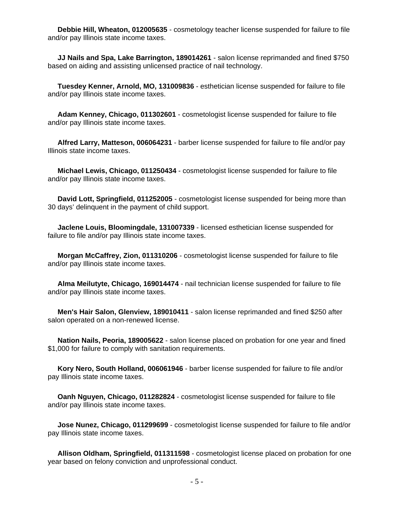**Debbie Hill, Wheaton, 012005635** - cosmetology teacher license suspended for failure to file and/or pay Illinois state income taxes.

 **JJ Nails and Spa, Lake Barrington, 189014261** - salon license reprimanded and fined \$750 based on aiding and assisting unlicensed practice of nail technology.

 **Tuesdey Kenner, Arnold, MO, 131009836** - esthetician license suspended for failure to file and/or pay Illinois state income taxes.

 **Adam Kenney, Chicago, 011302601** - cosmetologist license suspended for failure to file and/or pay Illinois state income taxes.

 **Alfred Larry, Matteson, 006064231** - barber license suspended for failure to file and/or pay Illinois state income taxes.

 **Michael Lewis, Chicago, 011250434** - cosmetologist license suspended for failure to file and/or pay Illinois state income taxes.

 **David Lott, Springfield, 011252005** - cosmetologist license suspended for being more than 30 days' delinquent in the payment of child support.

 **Jaclene Louis, Bloomingdale, 131007339** - licensed esthetician license suspended for failure to file and/or pay Illinois state income taxes.

 **Morgan McCaffrey, Zion, 011310206** - cosmetologist license suspended for failure to file and/or pay Illinois state income taxes.

 **Alma Meilutyte, Chicago, 169014474** - nail technician license suspended for failure to file and/or pay Illinois state income taxes.

 **Men's Hair Salon, Glenview, 189010411** - salon license reprimanded and fined \$250 after salon operated on a non-renewed license.

 **Nation Nails, Peoria, 189005622** - salon license placed on probation for one year and fined \$1,000 for failure to comply with sanitation requirements.

 **Kory Nero, South Holland, 006061946** - barber license suspended for failure to file and/or pay Illinois state income taxes.

 **Oanh Nguyen, Chicago, 011282824** - cosmetologist license suspended for failure to file and/or pay Illinois state income taxes.

 **Jose Nunez, Chicago, 011299699** - cosmetologist license suspended for failure to file and/or pay Illinois state income taxes.

 **Allison Oldham, Springfield, 011311598** - cosmetologist license placed on probation for one year based on felony conviction and unprofessional conduct.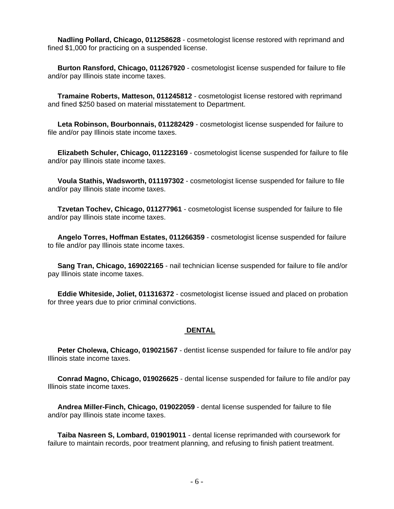**Nadling Pollard, Chicago, 011258628** - cosmetologist license restored with reprimand and fined \$1,000 for practicing on a suspended license.

 **Burton Ransford, Chicago, 011267920** - cosmetologist license suspended for failure to file and/or pay Illinois state income taxes.

 **Tramaine Roberts, Matteson, 011245812** - cosmetologist license restored with reprimand and fined \$250 based on material misstatement to Department.

 **Leta Robinson, Bourbonnais, 011282429** - cosmetologist license suspended for failure to file and/or pay Illinois state income taxes.

 **Elizabeth Schuler, Chicago, 011223169** - cosmetologist license suspended for failure to file and/or pay Illinois state income taxes.

 **Voula Stathis, Wadsworth, 011197302** - cosmetologist license suspended for failure to file and/or pay Illinois state income taxes.

 **Tzvetan Tochev, Chicago, 011277961** - cosmetologist license suspended for failure to file and/or pay Illinois state income taxes.

 **Angelo Torres, Hoffman Estates, 011266359** - cosmetologist license suspended for failure to file and/or pay Illinois state income taxes.

 **Sang Tran, Chicago, 169022165** - nail technician license suspended for failure to file and/or pay Illinois state income taxes.

 **Eddie Whiteside, Joliet, 011316372** - cosmetologist license issued and placed on probation for three years due to prior criminal convictions.

#### **DENTAL**

 **Peter Cholewa, Chicago, 019021567** - dentist license suspended for failure to file and/or pay Illinois state income taxes.

 **Conrad Magno, Chicago, 019026625** - dental license suspended for failure to file and/or pay Illinois state income taxes.

 **Andrea Miller-Finch, Chicago, 019022059** - dental license suspended for failure to file and/or pay Illinois state income taxes.

 **Taiba Nasreen S, Lombard, 019019011** - dental license reprimanded with coursework for failure to maintain records, poor treatment planning, and refusing to finish patient treatment.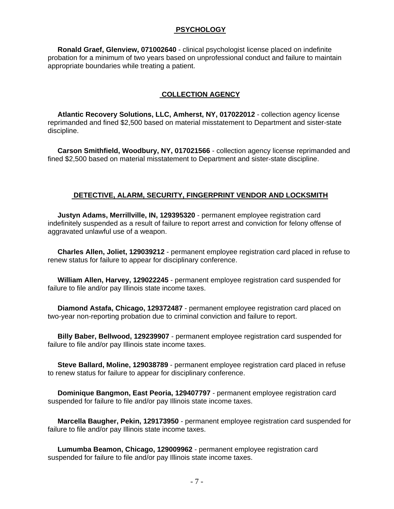#### **PSYCHOLOGY**

 **Ronald Graef, Glenview, 071002640** - clinical psychologist license placed on indefinite probation for a minimum of two years based on unprofessional conduct and failure to maintain appropriate boundaries while treating a patient.

#### **COLLECTION AGENCY**

 **Atlantic Recovery Solutions, LLC, Amherst, NY, 017022012** - collection agency license reprimanded and fined \$2,500 based on material misstatement to Department and sister-state discipline.

 **Carson Smithfield, Woodbury, NY, 017021566** - collection agency license reprimanded and fined \$2,500 based on material misstatement to Department and sister-state discipline.

#### **DETECTIVE, ALARM, SECURITY, FINGERPRINT VENDOR AND LOCKSMITH**

 **Justyn Adams, Merrillville, IN, 129395320** - permanent employee registration card indefinitely suspended as a result of failure to report arrest and conviction for felony offense of aggravated unlawful use of a weapon.

 **Charles Allen, Joliet, 129039212** - permanent employee registration card placed in refuse to renew status for failure to appear for disciplinary conference.

 **William Allen, Harvey, 129022245** - permanent employee registration card suspended for failure to file and/or pay Illinois state income taxes.

 **Diamond Astafa, Chicago, 129372487** - permanent employee registration card placed on two-year non-reporting probation due to criminal conviction and failure to report.

 **Billy Baber, Bellwood, 129239907** - permanent employee registration card suspended for failure to file and/or pay Illinois state income taxes.

 **Steve Ballard, Moline, 129038789** - permanent employee registration card placed in refuse to renew status for failure to appear for disciplinary conference.

 **Dominique Bangmon, East Peoria, 129407797** - permanent employee registration card suspended for failure to file and/or pay Illinois state income taxes.

 **Marcella Baugher, Pekin, 129173950** - permanent employee registration card suspended for failure to file and/or pay Illinois state income taxes.

 **Lumumba Beamon, Chicago, 129009962** - permanent employee registration card suspended for failure to file and/or pay Illinois state income taxes.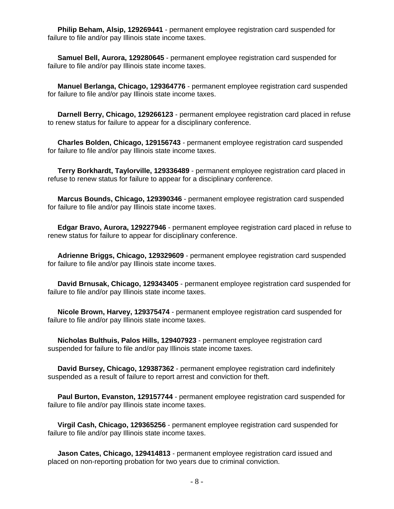**Philip Beham, Alsip, 129269441** - permanent employee registration card suspended for failure to file and/or pay Illinois state income taxes.

 **Samuel Bell, Aurora, 129280645** - permanent employee registration card suspended for failure to file and/or pay Illinois state income taxes.

 **Manuel Berlanga, Chicago, 129364776** - permanent employee registration card suspended for failure to file and/or pay Illinois state income taxes.

 **Darnell Berry, Chicago, 129266123** - permanent employee registration card placed in refuse to renew status for failure to appear for a disciplinary conference.

 **Charles Bolden, Chicago, 129156743** - permanent employee registration card suspended for failure to file and/or pay Illinois state income taxes.

 **Terry Borkhardt, Taylorville, 129336489** - permanent employee registration card placed in refuse to renew status for failure to appear for a disciplinary conference.

 **Marcus Bounds, Chicago, 129390346** - permanent employee registration card suspended for failure to file and/or pay Illinois state income taxes.

 **Edgar Bravo, Aurora, 129227946** - permanent employee registration card placed in refuse to renew status for failure to appear for disciplinary conference.

 **Adrienne Briggs, Chicago, 129329609** - permanent employee registration card suspended for failure to file and/or pay Illinois state income taxes.

 **David Brnusak, Chicago, 129343405** - permanent employee registration card suspended for failure to file and/or pay Illinois state income taxes.

 **Nicole Brown, Harvey, 129375474** - permanent employee registration card suspended for failure to file and/or pay Illinois state income taxes.

 **Nicholas Bulthuis, Palos Hills, 129407923** - permanent employee registration card suspended for failure to file and/or pay Illinois state income taxes.

 **David Bursey, Chicago, 129387362** - permanent employee registration card indefinitely suspended as a result of failure to report arrest and conviction for theft.

 **Paul Burton, Evanston, 129157744** - permanent employee registration card suspended for failure to file and/or pay Illinois state income taxes.

 **Virgil Cash, Chicago, 129365256** - permanent employee registration card suspended for failure to file and/or pay Illinois state income taxes.

 **Jason Cates, Chicago, 129414813** - permanent employee registration card issued and placed on non-reporting probation for two years due to criminal conviction.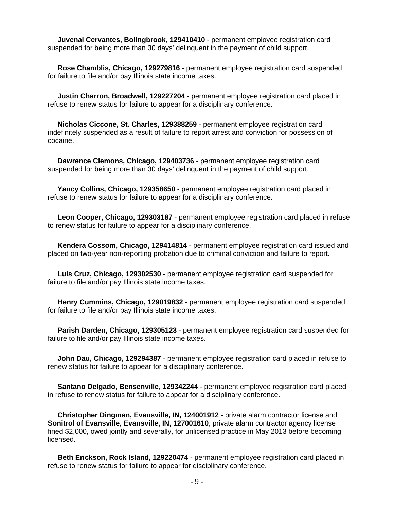**Juvenal Cervantes, Bolingbrook, 129410410** - permanent employee registration card suspended for being more than 30 days' delinquent in the payment of child support.

 **Rose Chamblis, Chicago, 129279816** - permanent employee registration card suspended for failure to file and/or pay Illinois state income taxes.

 **Justin Charron, Broadwell, 129227204** - permanent employee registration card placed in refuse to renew status for failure to appear for a disciplinary conference.

 **Nicholas Ciccone, St. Charles, 129388259** - permanent employee registration card indefinitely suspended as a result of failure to report arrest and conviction for possession of cocaine.

 **Dawrence Clemons, Chicago, 129403736** - permanent employee registration card suspended for being more than 30 days' delinquent in the payment of child support.

 **Yancy Collins, Chicago, 129358650** - permanent employee registration card placed in refuse to renew status for failure to appear for a disciplinary conference.

 **Leon Cooper, Chicago, 129303187** - permanent employee registration card placed in refuse to renew status for failure to appear for a disciplinary conference.

 **Kendera Cossom, Chicago, 129414814** - permanent employee registration card issued and placed on two-year non-reporting probation due to criminal conviction and failure to report.

 **Luis Cruz, Chicago, 129302530** - permanent employee registration card suspended for failure to file and/or pay Illinois state income taxes.

 **Henry Cummins, Chicago, 129019832** - permanent employee registration card suspended for failure to file and/or pay Illinois state income taxes.

 **Parish Darden, Chicago, 129305123** - permanent employee registration card suspended for failure to file and/or pay Illinois state income taxes.

 **John Dau, Chicago, 129294387** - permanent employee registration card placed in refuse to renew status for failure to appear for a disciplinary conference.

 **Santano Delgado, Bensenville, 129342244** - permanent employee registration card placed in refuse to renew status for failure to appear for a disciplinary conference.

 **Christopher Dingman, Evansville, IN, 124001912** - private alarm contractor license and **Sonitrol of Evansville, Evansville, IN, 127001610**, private alarm contractor agency license fined \$2,000, owed jointly and severally, for unlicensed practice in May 2013 before becoming licensed.

 **Beth Erickson, Rock Island, 129220474** - permanent employee registration card placed in refuse to renew status for failure to appear for disciplinary conference.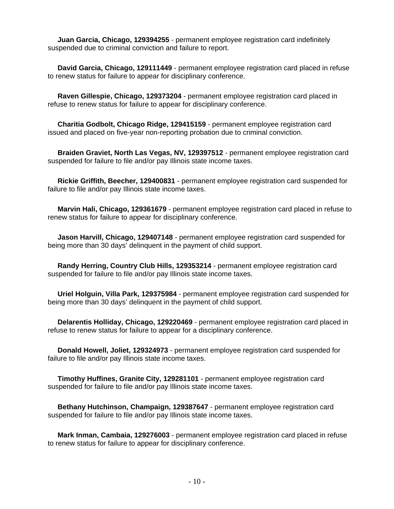**Juan Garcia, Chicago, 129394255** - permanent employee registration card indefinitely suspended due to criminal conviction and failure to report.

 **David Garcia, Chicago, 129111449** - permanent employee registration card placed in refuse to renew status for failure to appear for disciplinary conference.

 **Raven Gillespie, Chicago, 129373204** - permanent employee registration card placed in refuse to renew status for failure to appear for disciplinary conference.

 **Charitia Godbolt, Chicago Ridge, 129415159** - permanent employee registration card issued and placed on five-year non-reporting probation due to criminal conviction.

 **Braiden Graviet, North Las Vegas, NV, 129397512** - permanent employee registration card suspended for failure to file and/or pay Illinois state income taxes.

 **Rickie Griffith, Beecher, 129400831** - permanent employee registration card suspended for failure to file and/or pay Illinois state income taxes.

 **Marvin Hali, Chicago, 129361679** - permanent employee registration card placed in refuse to renew status for failure to appear for disciplinary conference.

 **Jason Harvill, Chicago, 129407148** - permanent employee registration card suspended for being more than 30 days' delinquent in the payment of child support.

 **Randy Herring, Country Club Hills, 129353214** - permanent employee registration card suspended for failure to file and/or pay Illinois state income taxes.

 **Uriel Holguin, Villa Park, 129375984** - permanent employee registration card suspended for being more than 30 days' delinquent in the payment of child support.

 **Delarentis Holliday, Chicago, 129220469** - permanent employee registration card placed in refuse to renew status for failure to appear for a disciplinary conference.

 **Donald Howell, Joliet, 129324973** - permanent employee registration card suspended for failure to file and/or pay Illinois state income taxes.

 **Timothy Huffines, Granite City, 129281101** - permanent employee registration card suspended for failure to file and/or pay Illinois state income taxes.

 **Bethany Hutchinson, Champaign, 129387647** - permanent employee registration card suspended for failure to file and/or pay Illinois state income taxes.

 **Mark Inman, Cambaia, 129276003** - permanent employee registration card placed in refuse to renew status for failure to appear for disciplinary conference.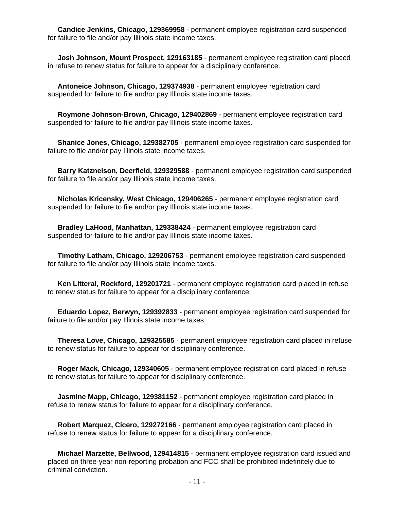**Candice Jenkins, Chicago, 129369958** - permanent employee registration card suspended for failure to file and/or pay Illinois state income taxes.

 **Josh Johnson, Mount Prospect, 129163185** - permanent employee registration card placed in refuse to renew status for failure to appear for a disciplinary conference.

 **Antoneice Johnson, Chicago, 129374938** - permanent employee registration card suspended for failure to file and/or pay Illinois state income taxes.

 **Roymone Johnson-Brown, Chicago, 129402869** - permanent employee registration card suspended for failure to file and/or pay Illinois state income taxes.

 **Shanice Jones, Chicago, 129382705** - permanent employee registration card suspended for failure to file and/or pay Illinois state income taxes.

 **Barry Katznelson, Deerfield, 129329588** - permanent employee registration card suspended for failure to file and/or pay Illinois state income taxes.

 **Nicholas Kricensky, West Chicago, 129406265** - permanent employee registration card suspended for failure to file and/or pay Illinois state income taxes.

 **Bradley LaHood, Manhattan, 129338424** - permanent employee registration card suspended for failure to file and/or pay Illinois state income taxes.

 **Timothy Latham, Chicago, 129206753** - permanent employee registration card suspended for failure to file and/or pay Illinois state income taxes.

 **Ken Litteral, Rockford, 129201721** - permanent employee registration card placed in refuse to renew status for failure to appear for a disciplinary conference.

 **Eduardo Lopez, Berwyn, 129392833** - permanent employee registration card suspended for failure to file and/or pay Illinois state income taxes.

 **Theresa Love, Chicago, 129325585** - permanent employee registration card placed in refuse to renew status for failure to appear for disciplinary conference.

 **Roger Mack, Chicago, 129340605** - permanent employee registration card placed in refuse to renew status for failure to appear for disciplinary conference.

 **Jasmine Mapp, Chicago, 129381152** - permanent employee registration card placed in refuse to renew status for failure to appear for a disciplinary conference.

 **Robert Marquez, Cicero, 129272166** - permanent employee registration card placed in refuse to renew status for failure to appear for a disciplinary conference.

 **Michael Marzette, Bellwood, 129414815** - permanent employee registration card issued and placed on three-year non-reporting probation and FCC shall be prohibited indefinitely due to criminal conviction.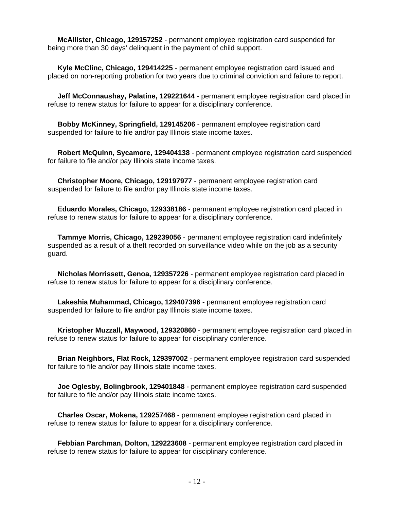**McAllister, Chicago, 129157252** - permanent employee registration card suspended for being more than 30 days' delinquent in the payment of child support.

 **Kyle McClinc, Chicago, 129414225** - permanent employee registration card issued and placed on non-reporting probation for two years due to criminal conviction and failure to report.

 **Jeff McConnaushay, Palatine, 129221644** - permanent employee registration card placed in refuse to renew status for failure to appear for a disciplinary conference.

 **Bobby McKinney, Springfield, 129145206** - permanent employee registration card suspended for failure to file and/or pay Illinois state income taxes.

 **Robert McQuinn, Sycamore, 129404138** - permanent employee registration card suspended for failure to file and/or pay Illinois state income taxes.

 **Christopher Moore, Chicago, 129197977** - permanent employee registration card suspended for failure to file and/or pay Illinois state income taxes.

 **Eduardo Morales, Chicago, 129338186** - permanent employee registration card placed in refuse to renew status for failure to appear for a disciplinary conference.

 **Tammye Morris, Chicago, 129239056** - permanent employee registration card indefinitely suspended as a result of a theft recorded on surveillance video while on the job as a security guard.

 **Nicholas Morrissett, Genoa, 129357226** - permanent employee registration card placed in refuse to renew status for failure to appear for a disciplinary conference.

 **Lakeshia Muhammad, Chicago, 129407396** - permanent employee registration card suspended for failure to file and/or pay Illinois state income taxes.

 **Kristopher Muzzall, Maywood, 129320860** - permanent employee registration card placed in refuse to renew status for failure to appear for disciplinary conference.

 **Brian Neighbors, Flat Rock, 129397002** - permanent employee registration card suspended for failure to file and/or pay Illinois state income taxes.

 **Joe Oglesby, Bolingbrook, 129401848** - permanent employee registration card suspended for failure to file and/or pay Illinois state income taxes.

 **Charles Oscar, Mokena, 129257468** - permanent employee registration card placed in refuse to renew status for failure to appear for a disciplinary conference.

 **Febbian Parchman, Dolton, 129223608** - permanent employee registration card placed in refuse to renew status for failure to appear for disciplinary conference.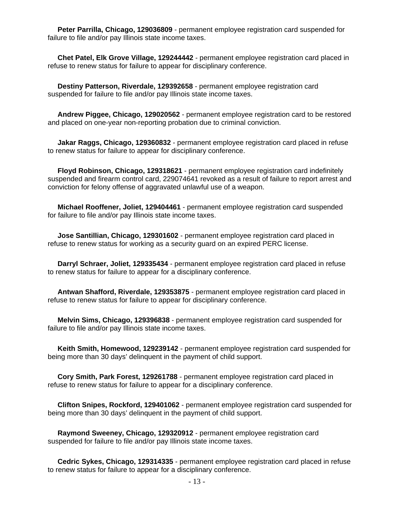**Peter Parrilla, Chicago, 129036809** - permanent employee registration card suspended for failure to file and/or pay Illinois state income taxes.

 **Chet Patel, Elk Grove Village, 129244442** - permanent employee registration card placed in refuse to renew status for failure to appear for disciplinary conference.

 **Destiny Patterson, Riverdale, 129392658** - permanent employee registration card suspended for failure to file and/or pay Illinois state income taxes.

 **Andrew Piggee, Chicago, 129020562** - permanent employee registration card to be restored and placed on one-year non-reporting probation due to criminal conviction.

 **Jakar Raggs, Chicago, 129360832** - permanent employee registration card placed in refuse to renew status for failure to appear for disciplinary conference.

 **Floyd Robinson, Chicago, 129318621** - permanent employee registration card indefinitely suspended and firearm control card, 229074641 revoked as a result of failure to report arrest and conviction for felony offense of aggravated unlawful use of a weapon.

 **Michael Rooffener, Joliet, 129404461** - permanent employee registration card suspended for failure to file and/or pay Illinois state income taxes.

 **Jose Santillian, Chicago, 129301602** - permanent employee registration card placed in refuse to renew status for working as a security guard on an expired PERC license.

 **Darryl Schraer, Joliet, 129335434** - permanent employee registration card placed in refuse to renew status for failure to appear for a disciplinary conference.

 **Antwan Shafford, Riverdale, 129353875** - permanent employee registration card placed in refuse to renew status for failure to appear for disciplinary conference.

 **Melvin Sims, Chicago, 129396838** - permanent employee registration card suspended for failure to file and/or pay Illinois state income taxes.

 **Keith Smith, Homewood, 129239142** - permanent employee registration card suspended for being more than 30 days' delinquent in the payment of child support.

 **Cory Smith, Park Forest, 129261788** - permanent employee registration card placed in refuse to renew status for failure to appear for a disciplinary conference.

 **Clifton Snipes, Rockford, 129401062** - permanent employee registration card suspended for being more than 30 days' delinquent in the payment of child support.

 **Raymond Sweeney, Chicago, 129320912** - permanent employee registration card suspended for failure to file and/or pay Illinois state income taxes.

 **Cedric Sykes, Chicago, 129314335** - permanent employee registration card placed in refuse to renew status for failure to appear for a disciplinary conference.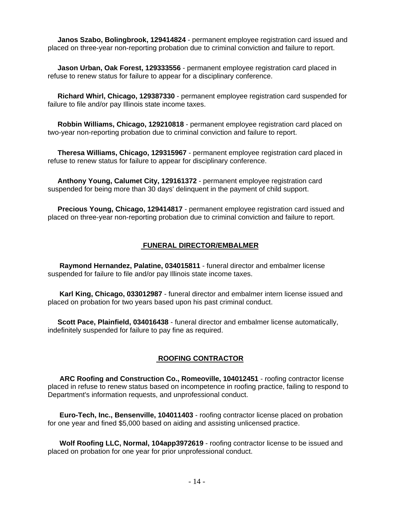**Janos Szabo, Bolingbrook, 129414824** - permanent employee registration card issued and placed on three-year non-reporting probation due to criminal conviction and failure to report.

 **Jason Urban, Oak Forest, 129333556** - permanent employee registration card placed in refuse to renew status for failure to appear for a disciplinary conference.

 **Richard Whirl, Chicago, 129387330** - permanent employee registration card suspended for failure to file and/or pay Illinois state income taxes.

 **Robbin Williams, Chicago, 129210818** - permanent employee registration card placed on two-year non-reporting probation due to criminal conviction and failure to report.

 **Theresa Williams, Chicago, 129315967** - permanent employee registration card placed in refuse to renew status for failure to appear for disciplinary conference.

 **Anthony Young, Calumet City, 129161372** - permanent employee registration card suspended for being more than 30 days' delinquent in the payment of child support.

 **Precious Young, Chicago, 129414817** - permanent employee registration card issued and placed on three-year non-reporting probation due to criminal conviction and failure to report.

#### **FUNERAL DIRECTOR/EMBALMER**

 **Raymond Hernandez, Palatine, 034015811** - funeral director and embalmer license suspended for failure to file and/or pay Illinois state income taxes.

 **Karl King, Chicago, 033012987** - funeral director and embalmer intern license issued and placed on probation for two years based upon his past criminal conduct.

 **Scott Pace, Plainfield, 034016438** - funeral director and embalmer license automatically, indefinitely suspended for failure to pay fine as required.

### **ROOFING CONTRACTOR**

 **ARC Roofing and Construction Co., Romeoville, 104012451** - roofing contractor license placed in refuse to renew status based on incompetence in roofing practice, failing to respond to Department's information requests, and unprofessional conduct.

 **Euro-Tech, Inc., Bensenville, 104011403** - roofing contractor license placed on probation for one year and fined \$5,000 based on aiding and assisting unlicensed practice.

 **Wolf Roofing LLC, Normal, 104app3972619** - roofing contractor license to be issued and placed on probation for one year for prior unprofessional conduct.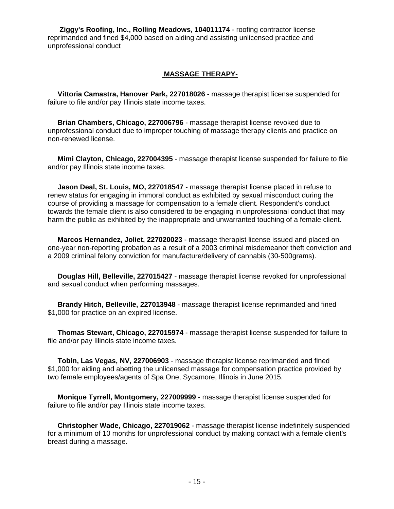**Ziggy's Roofing, Inc., Rolling Meadows, 104011174** - roofing contractor license reprimanded and fined \$4,000 based on aiding and assisting unlicensed practice and unprofessional conduct

#### **MASSAGE THERAPY-**

 **Vittoria Camastra, Hanover Park, 227018026** - massage therapist license suspended for failure to file and/or pay Illinois state income taxes.

 **Brian Chambers, Chicago, 227006796** - massage therapist license revoked due to unprofessional conduct due to improper touching of massage therapy clients and practice on non-renewed license.

 **Mimi Clayton, Chicago, 227004395** - massage therapist license suspended for failure to file and/or pay Illinois state income taxes.

 **Jason Deal, St. Louis, MO, 227018547** - massage therapist license placed in refuse to renew status for engaging in immoral conduct as exhibited by sexual misconduct during the course of providing a massage for compensation to a female client. Respondent's conduct towards the female client is also considered to be engaging in unprofessional conduct that may harm the public as exhibited by the inappropriate and unwarranted touching of a female client.

 **Marcos Hernandez, Joliet, 227020023** - massage therapist license issued and placed on one-year non-reporting probation as a result of a 2003 criminal misdemeanor theft conviction and a 2009 criminal felony conviction for manufacture/delivery of cannabis (30-500grams).

 **Douglas Hill, Belleville, 227015427** - massage therapist license revoked for unprofessional and sexual conduct when performing massages.

 **Brandy Hitch, Belleville, 227013948** - massage therapist license reprimanded and fined \$1,000 for practice on an expired license.

 **Thomas Stewart, Chicago, 227015974** - massage therapist license suspended for failure to file and/or pay Illinois state income taxes.

 **Tobin, Las Vegas, NV, 227006903** - massage therapist license reprimanded and fined \$1,000 for aiding and abetting the unlicensed massage for compensation practice provided by two female employees/agents of Spa One, Sycamore, Illinois in June 2015.

 **Monique Tyrrell, Montgomery, 227009999** - massage therapist license suspended for failure to file and/or pay Illinois state income taxes.

 **Christopher Wade, Chicago, 227019062** - massage therapist license indefinitely suspended for a minimum of 10 months for unprofessional conduct by making contact with a female client's breast during a massage.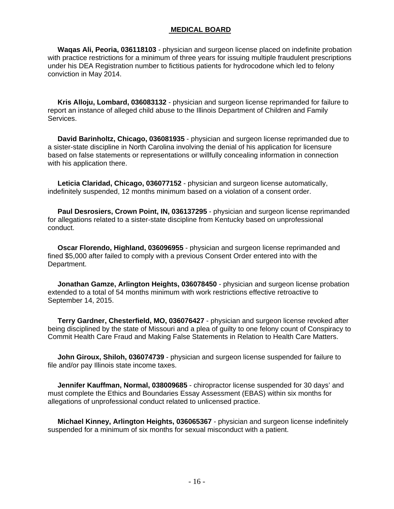#### **MEDICAL BOARD**

 **Waqas Ali, Peoria, 036118103** - physician and surgeon license placed on indefinite probation with practice restrictions for a minimum of three years for issuing multiple fraudulent prescriptions under his DEA Registration number to fictitious patients for hydrocodone which led to felony conviction in May 2014.

 **Kris Alloju, Lombard, 036083132** - physician and surgeon license reprimanded for failure to report an instance of alleged child abuse to the Illinois Department of Children and Family Services.

 **David Barinholtz, Chicago, 036081935** - physician and surgeon license reprimanded due to a sister-state discipline in North Carolina involving the denial of his application for licensure based on false statements or representations or willfully concealing information in connection with his application there.

 **Leticia Claridad, Chicago, 036077152** - physician and surgeon license automatically, indefinitely suspended, 12 months minimum based on a violation of a consent order.

 **Paul Desrosiers, Crown Point, IN, 036137295** - physician and surgeon license reprimanded for allegations related to a sister-state discipline from Kentucky based on unprofessional conduct.

 **Oscar Florendo, Highland, 036096955** - physician and surgeon license reprimanded and fined \$5,000 after failed to comply with a previous Consent Order entered into with the Department.

 **Jonathan Gamze, Arlington Heights, 036078450** - physician and surgeon license probation extended to a total of 54 months minimum with work restrictions effective retroactive to September 14, 2015.

 **Terry Gardner, Chesterfield, MO, 036076427** - physician and surgeon license revoked after being disciplined by the state of Missouri and a plea of guilty to one felony count of Conspiracy to Commit Health Care Fraud and Making False Statements in Relation to Health Care Matters.

 **John Giroux, Shiloh, 036074739** - physician and surgeon license suspended for failure to file and/or pay Illinois state income taxes.

 **Jennifer Kauffman, Normal, 038009685** - chiropractor license suspended for 30 days' and must complete the Ethics and Boundaries Essay Assessment (EBAS) within six months for allegations of unprofessional conduct related to unlicensed practice.

 **Michael Kinney, Arlington Heights, 036065367** - physician and surgeon license indefinitely suspended for a minimum of six months for sexual misconduct with a patient.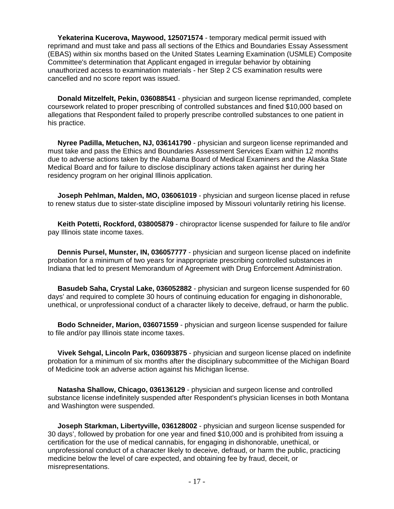**Yekaterina Kucerova, Maywood, 125071574** - temporary medical permit issued with reprimand and must take and pass all sections of the Ethics and Boundaries Essay Assessment (EBAS) within six months based on the United States Learning Examination (USMLE) Composite Committee's determination that Applicant engaged in irregular behavior by obtaining unauthorized access to examination materials - her Step 2 CS examination results were cancelled and no score report was issued.

 **Donald Mitzelfelt, Pekin, 036088541** - physician and surgeon license reprimanded, complete coursework related to proper prescribing of controlled substances and fined \$10,000 based on allegations that Respondent failed to properly prescribe controlled substances to one patient in his practice.

 **Nyree Padilla, Metuchen, NJ, 036141790** - physician and surgeon license reprimanded and must take and pass the Ethics and Boundaries Assessment Services Exam within 12 months due to adverse actions taken by the Alabama Board of Medical Examiners and the Alaska State Medical Board and for failure to disclose disciplinary actions taken against her during her residency program on her original Illinois application.

 **Joseph Pehlman, Malden, MO, 036061019** - physician and surgeon license placed in refuse to renew status due to sister-state discipline imposed by Missouri voluntarily retiring his license.

 **Keith Potetti, Rockford, 038005879** - chiropractor license suspended for failure to file and/or pay Illinois state income taxes.

 **Dennis Pursel, Munster, IN, 036057777** - physician and surgeon license placed on indefinite probation for a minimum of two years for inappropriate prescribing controlled substances in Indiana that led to present Memorandum of Agreement with Drug Enforcement Administration.

 **Basudeb Saha, Crystal Lake, 036052882** - physician and surgeon license suspended for 60 days' and required to complete 30 hours of continuing education for engaging in dishonorable, unethical, or unprofessional conduct of a character likely to deceive, defraud, or harm the public.

 **Bodo Schneider, Marion, 036071559** - physician and surgeon license suspended for failure to file and/or pay Illinois state income taxes.

 **Vivek Sehgal, Lincoln Park, 036093875** - physician and surgeon license placed on indefinite probation for a minimum of six months after the disciplinary subcommittee of the Michigan Board of Medicine took an adverse action against his Michigan license.

 **Natasha Shallow, Chicago, 036136129** - physician and surgeon license and controlled substance license indefinitely suspended after Respondent's physician licenses in both Montana and Washington were suspended.

 **Joseph Starkman, Libertyville, 036128002** - physician and surgeon license suspended for 30 days', followed by probation for one year and fined \$10,000 and is prohibited from issuing a certification for the use of medical cannabis, for engaging in dishonorable, unethical, or unprofessional conduct of a character likely to deceive, defraud, or harm the public, practicing medicine below the level of care expected, and obtaining fee by fraud, deceit, or misrepresentations.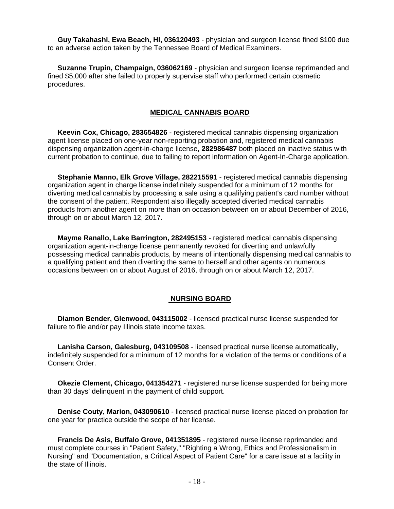**Guy Takahashi, Ewa Beach, HI, 036120493** - physician and surgeon license fined \$100 due to an adverse action taken by the Tennessee Board of Medical Examiners.

 **Suzanne Trupin, Champaign, 036062169** - physician and surgeon license reprimanded and fined \$5,000 after she failed to properly supervise staff who performed certain cosmetic procedures.

#### **MEDICAL CANNABIS BOARD**

 **Keevin Cox, Chicago, 283654826** - registered medical cannabis dispensing organization agent license placed on one-year non-reporting probation and, registered medical cannabis dispensing organization agent-in-charge license, **282986487** both placed on inactive status with current probation to continue, due to failing to report information on Agent-In-Charge application.

 **Stephanie Manno, Elk Grove Village, 282215591** - registered medical cannabis dispensing organization agent in charge license indefinitely suspended for a minimum of 12 months for diverting medical cannabis by processing a sale using a qualifying patient's card number without the consent of the patient. Respondent also illegally accepted diverted medical cannabis products from another agent on more than on occasion between on or about December of 2016, through on or about March 12, 2017.

 **Mayme Ranallo, Lake Barrington, 282495153** - registered medical cannabis dispensing organization agent-in-charge license permanently revoked for diverting and unlawfully possessing medical cannabis products, by means of intentionally dispensing medical cannabis to a qualifying patient and then diverting the same to herself and other agents on numerous occasions between on or about August of 2016, through on or about March 12, 2017.

#### **NURSING BOARD**

 **Diamon Bender, Glenwood, 043115002** - licensed practical nurse license suspended for failure to file and/or pay Illinois state income taxes.

 **Lanisha Carson, Galesburg, 043109508** - licensed practical nurse license automatically, indefinitely suspended for a minimum of 12 months for a violation of the terms or conditions of a Consent Order.

 **Okezie Clement, Chicago, 041354271** - registered nurse license suspended for being more than 30 days' delinquent in the payment of child support.

 **Denise Couty, Marion, 043090610** - licensed practical nurse license placed on probation for one year for practice outside the scope of her license.

 **Francis De Asis, Buffalo Grove, 041351895** - registered nurse license reprimanded and must complete courses in "Patient Safety," "Righting a Wrong, Ethics and Professionalism in Nursing" and "Documentation, a Critical Aspect of Patient Care" for a care issue at a facility in the state of Illinois.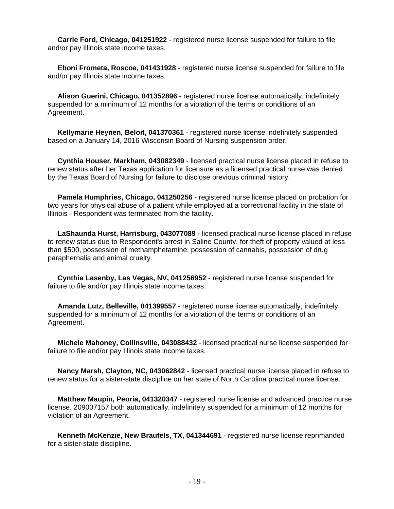**Carrie Ford, Chicago, 041251922** - registered nurse license suspended for failure to file and/or pay Illinois state income taxes.

 **Eboni Frometa, Roscoe, 041431928** - registered nurse license suspended for failure to file and/or pay Illinois state income taxes.

 **Alison Guerini, Chicago, 041352896** - registered nurse license automatically, indefinitely suspended for a minimum of 12 months for a violation of the terms or conditions of an Agreement.

 **Kellymarie Heynen, Beloit, 041370361** - registered nurse license indefinitely suspended based on a January 14, 2016 Wisconsin Board of Nursing suspension order.

 **Cynthia Houser, Markham, 043082349** - licensed practical nurse license placed in refuse to renew status after her Texas application for licensure as a licensed practical nurse was denied by the Texas Board of Nursing for failure to disclose previous criminal history.

 **Pamela Humphries, Chicago, 041250256** - registered nurse license placed on probation for two years for physical abuse of a patient while employed at a correctional facility in the state of Illinois - Respondent was terminated from the facility.

 **LaShaunda Hurst, Harrisburg, 043077089** - licensed practical nurse license placed in refuse to renew status due to Respondent's arrest in Saline County, for theft of property valued at less than \$500, possession of methamphetamine, possession of cannabis, possession of drug paraphernalia and animal cruelty.

 **Cynthia Lasenby, Las Vegas, NV, 041256952** - registered nurse license suspended for failure to file and/or pay Illinois state income taxes.

 **Amanda Lutz, Belleville, 041399557** - registered nurse license automatically, indefinitely suspended for a minimum of 12 months for a violation of the terms or conditions of an Agreement.

 **Michele Mahoney, Collinsville, 043088432** - licensed practical nurse license suspended for failure to file and/or pay Illinois state income taxes.

 **Nancy Marsh, Clayton, NC, 043062842** - licensed practical nurse license placed in refuse to renew status for a sister-state discipline on her state of North Carolina practical nurse license.

 **Matthew Maupin, Peoria, 041320347** - registered nurse license and advanced practice nurse license, 209007157 both automatically, indefinitely suspended for a minimum of 12 months for violation of an Agreement.

 **Kenneth McKenzie, New Braufels, TX, 041344691** - registered nurse license reprimanded for a sister-state discipline.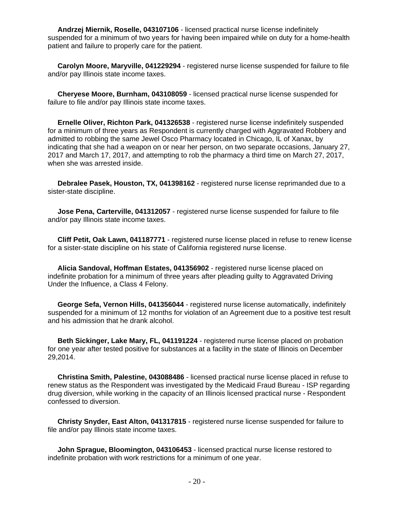**Andrzej Miernik, Roselle, 043107106** - licensed practical nurse license indefinitely suspended for a minimum of two years for having been impaired while on duty for a home-health patient and failure to properly care for the patient.

 **Carolyn Moore, Maryville, 041229294** - registered nurse license suspended for failure to file and/or pay Illinois state income taxes.

 **Cheryese Moore, Burnham, 043108059** - licensed practical nurse license suspended for failure to file and/or pay Illinois state income taxes.

 **Ernelle Oliver, Richton Park, 041326538** - registered nurse license indefinitely suspended for a minimum of three years as Respondent is currently charged with Aggravated Robbery and admitted to robbing the same Jewel Osco Pharmacy located in Chicago, IL of Xanax, by indicating that she had a weapon on or near her person, on two separate occasions, January 27, 2017 and March 17, 2017, and attempting to rob the pharmacy a third time on March 27, 2017, when she was arrested inside.

 **Debralee Pasek, Houston, TX, 041398162** - registered nurse license reprimanded due to a sister-state discipline.

 **Jose Pena, Carterville, 041312057** - registered nurse license suspended for failure to file and/or pay Illinois state income taxes.

 **Cliff Petit, Oak Lawn, 041187771** - registered nurse license placed in refuse to renew license for a sister-state discipline on his state of California registered nurse license.

 **Alicia Sandoval, Hoffman Estates, 041356902** - registered nurse license placed on indefinite probation for a minimum of three years after pleading guilty to Aggravated Driving Under the Influence, a Class 4 Felony.

 **George Sefa, Vernon Hills, 041356044** - registered nurse license automatically, indefinitely suspended for a minimum of 12 months for violation of an Agreement due to a positive test result and his admission that he drank alcohol.

 **Beth Sickinger, Lake Mary, FL, 041191224** - registered nurse license placed on probation for one year after tested positive for substances at a facility in the state of Illinois on December 29,2014.

 **Christina Smith, Palestine, 043088486** - licensed practical nurse license placed in refuse to renew status as the Respondent was investigated by the Medicaid Fraud Bureau - ISP regarding drug diversion, while working in the capacity of an Illinois licensed practical nurse - Respondent confessed to diversion.

 **Christy Snyder, East Alton, 041317815** - registered nurse license suspended for failure to file and/or pay Illinois state income taxes.

 **John Sprague, Bloomington, 043106453** - licensed practical nurse license restored to indefinite probation with work restrictions for a minimum of one year.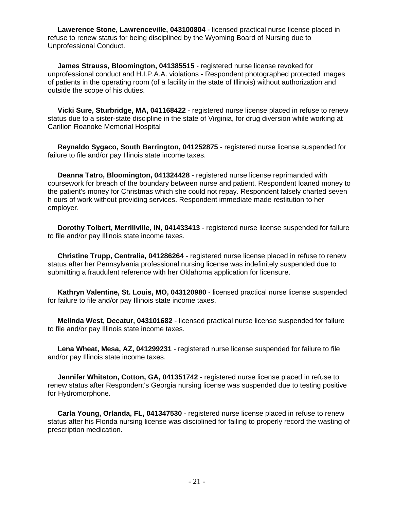**Lawerence Stone, Lawrenceville, 043100804** - licensed practical nurse license placed in refuse to renew status for being disciplined by the Wyoming Board of Nursing due to Unprofessional Conduct.

 **James Strauss, Bloomington, 041385515** - registered nurse license revoked for unprofessional conduct and H.I.P.A.A. violations - Respondent photographed protected images of patients in the operating room (of a facility in the state of Illinois) without authorization and outside the scope of his duties.

 **Vicki Sure, Sturbridge, MA, 041168422** - registered nurse license placed in refuse to renew status due to a sister-state discipline in the state of Virginia, for drug diversion while working at Carilion Roanoke Memorial Hospital

 **Reynaldo Sygaco, South Barrington, 041252875** - registered nurse license suspended for failure to file and/or pay Illinois state income taxes.

 **Deanna Tatro, Bloomington, 041324428** - registered nurse license reprimanded with coursework for breach of the boundary between nurse and patient. Respondent loaned money to the patient's money for Christmas which she could not repay. Respondent falsely charted seven h ours of work without providing services. Respondent immediate made restitution to her employer.

 **Dorothy Tolbert, Merrillville, IN, 041433413** - registered nurse license suspended for failure to file and/or pay Illinois state income taxes.

 **Christine Trupp, Centralia, 041286264** - registered nurse license placed in refuse to renew status after her Pennsylvania professional nursing license was indefinitely suspended due to submitting a fraudulent reference with her Oklahoma application for licensure.

 **Kathryn Valentine, St. Louis, MO, 043120980** - licensed practical nurse license suspended for failure to file and/or pay Illinois state income taxes.

 **Melinda West, Decatur, 043101682** - licensed practical nurse license suspended for failure to file and/or pay Illinois state income taxes.

 **Lena Wheat, Mesa, AZ, 041299231** - registered nurse license suspended for failure to file and/or pay Illinois state income taxes.

 **Jennifer Whitston, Cotton, GA, 041351742** - registered nurse license placed in refuse to renew status after Respondent's Georgia nursing license was suspended due to testing positive for Hydromorphone.

 **Carla Young, Orlanda, FL, 041347530** - registered nurse license placed in refuse to renew status after his Florida nursing license was disciplined for failing to properly record the wasting of prescription medication.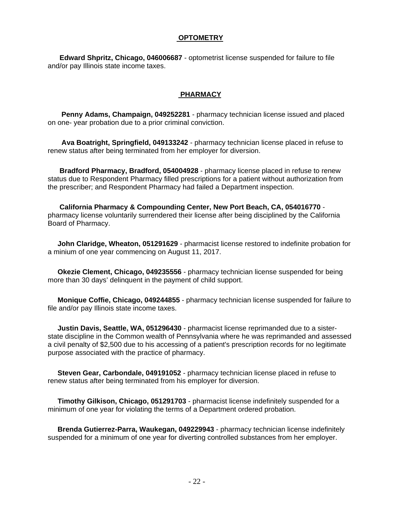#### **OPTOMETRY**

 **Edward Shpritz, Chicago, 046006687** - optometrist license suspended for failure to file and/or pay Illinois state income taxes.

#### **PHARMACY**

 **Penny Adams, Champaign, 049252281** - pharmacy technician license issued and placed on one- year probation due to a prior criminal conviction.

 **Ava Boatright, Springfield, 049133242** - pharmacy technician license placed in refuse to renew status after being terminated from her employer for diversion.

 **Bradford Pharmacy, Bradford, 054004928** - pharmacy license placed in refuse to renew status due to Respondent Pharmacy filled prescriptions for a patient without authorization from the prescriber; and Respondent Pharmacy had failed a Department inspection.

 **California Pharmacy & Compounding Center, New Port Beach, CA, 054016770** pharmacy license voluntarily surrendered their license after being disciplined by the California Board of Pharmacy.

 **John Claridge, Wheaton, 051291629** - pharmacist license restored to indefinite probation for a minium of one year commencing on August 11, 2017.

 **Okezie Clement, Chicago, 049235556** - pharmacy technician license suspended for being more than 30 days' delinquent in the payment of child support.

 **Monique Coffie, Chicago, 049244855** - pharmacy technician license suspended for failure to file and/or pay Illinois state income taxes.

 **Justin Davis, Seattle, WA, 051296430** - pharmacist license reprimanded due to a sisterstate discipline in the Common wealth of Pennsylvania where he was reprimanded and assessed a civil penalty of \$2,500 due to his accessing of a patient's prescription records for no legitimate purpose associated with the practice of pharmacy.

 **Steven Gear, Carbondale, 049191052** - pharmacy technician license placed in refuse to renew status after being terminated from his employer for diversion.

 **Timothy Gilkison, Chicago, 051291703** - pharmacist license indefinitely suspended for a minimum of one year for violating the terms of a Department ordered probation.

 **Brenda Gutierrez-Parra, Waukegan, 049229943** - pharmacy technician license indefinitely suspended for a minimum of one year for diverting controlled substances from her employer.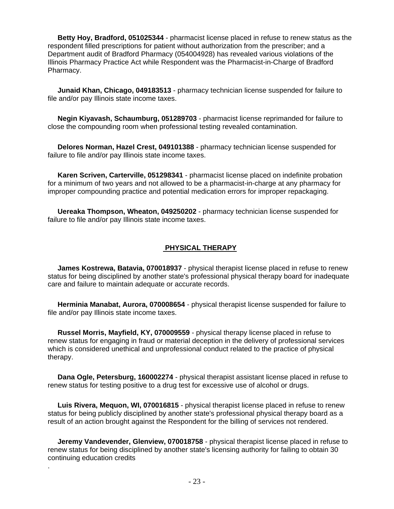**Betty Hoy, Bradford, 051025344** - pharmacist license placed in refuse to renew status as the respondent filled prescriptions for patient without authorization from the prescriber; and a Department audit of Bradford Pharmacy (054004928) has revealed various violations of the Illinois Pharmacy Practice Act while Respondent was the Pharmacist-in-Charge of Bradford Pharmacy.

 **Junaid Khan, Chicago, 049183513** - pharmacy technician license suspended for failure to file and/or pay Illinois state income taxes.

 **Negin Kiyavash, Schaumburg, 051289703** - pharmacist license reprimanded for failure to close the compounding room when professional testing revealed contamination.

 **Delores Norman, Hazel Crest, 049101388** - pharmacy technician license suspended for failure to file and/or pay Illinois state income taxes.

 **Karen Scriven, Carterville, 051298341** - pharmacist license placed on indefinite probation for a minimum of two years and not allowed to be a pharmacist-in-charge at any pharmacy for improper compounding practice and potential medication errors for improper repackaging.

 **Uereaka Thompson, Wheaton, 049250202** - pharmacy technician license suspended for failure to file and/or pay Illinois state income taxes.

#### **PHYSICAL THERAPY**

 **James Kostrewa, Batavia, 070018937** - physical therapist license placed in refuse to renew status for being disciplined by another state's professional physical therapy board for inadequate care and failure to maintain adequate or accurate records.

 **Herminia Manabat, Aurora, 070008654** - physical therapist license suspended for failure to file and/or pay Illinois state income taxes.

 **Russel Morris, Mayfield, KY, 070009559** - physical therapy license placed in refuse to renew status for engaging in fraud or material deception in the delivery of professional services which is considered unethical and unprofessional conduct related to the practice of physical therapy.

 **Dana Ogle, Petersburg, 160002274** - physical therapist assistant license placed in refuse to renew status for testing positive to a drug test for excessive use of alcohol or drugs.

 **Luis Rivera, Mequon, WI, 070016815** - physical therapist license placed in refuse to renew status for being publicly disciplined by another state's professional physical therapy board as a result of an action brought against the Respondent for the billing of services not rendered.

 **Jeremy Vandevender, Glenview, 070018758** - physical therapist license placed in refuse to renew status for being disciplined by another state's licensing authority for failing to obtain 30 continuing education credits

.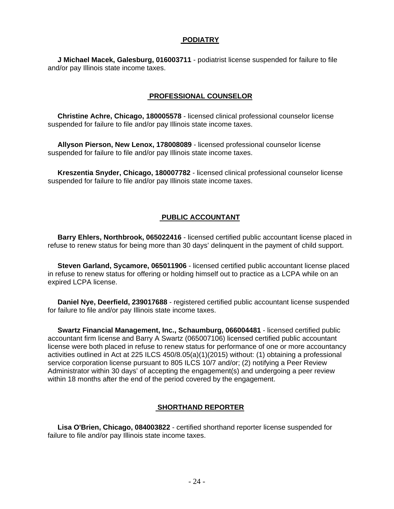#### **PODIATRY**

 **J Michael Macek, Galesburg, 016003711** - podiatrist license suspended for failure to file and/or pay Illinois state income taxes.

#### **PROFESSIONAL COUNSELOR**

 **Christine Achre, Chicago, 180005578** - licensed clinical professional counselor license suspended for failure to file and/or pay Illinois state income taxes.

 **Allyson Pierson, New Lenox, 178008089** - licensed professional counselor license suspended for failure to file and/or pay Illinois state income taxes.

 **Kreszentia Snyder, Chicago, 180007782** - licensed clinical professional counselor license suspended for failure to file and/or pay Illinois state income taxes.

#### **PUBLIC ACCOUNTANT**

 **Barry Ehlers, Northbrook, 065022416** - licensed certified public accountant license placed in refuse to renew status for being more than 30 days' delinquent in the payment of child support.

 **Steven Garland, Sycamore, 065011906** - licensed certified public accountant license placed in refuse to renew status for offering or holding himself out to practice as a LCPA while on an expired LCPA license.

 **Daniel Nye, Deerfield, 239017688** - registered certified public accountant license suspended for failure to file and/or pay Illinois state income taxes.

 **Swartz Financial Management, Inc., Schaumburg, 066004481** - licensed certified public accountant firm license and Barry A Swartz (065007106) licensed certified public accountant license were both placed in refuse to renew status for performance of one or more accountancy activities outlined in Act at 225 ILCS 450/8.05(a)(1)(2015) without: (1) obtaining a professional service corporation license pursuant to 805 ILCS 10/7 and/or; (2) notifying a Peer Review Administrator within 30 days' of accepting the engagement(s) and undergoing a peer review within 18 months after the end of the period covered by the engagement.

#### **SHORTHAND REPORTER**

 **Lisa O'Brien, Chicago, 084003822** - certified shorthand reporter license suspended for failure to file and/or pay Illinois state income taxes.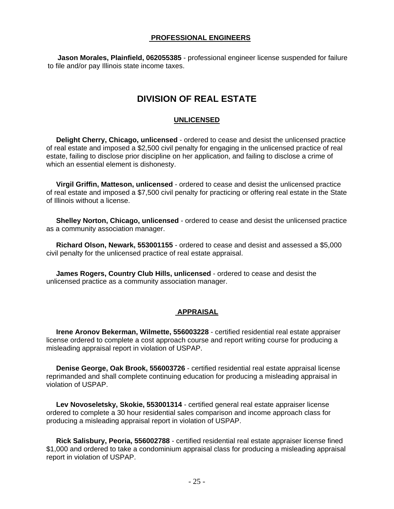#### **PROFESSIONAL ENGINEERS**

 **Jason Morales, Plainfield, 062055385** - professional engineer license suspended for failure to file and/or pay Illinois state income taxes.

# **DIVISION OF REAL ESTATE**

#### **UNLICENSED**

 **Delight Cherry, Chicago, unlicensed** - ordered to cease and desist the unlicensed practice of real estate and imposed a \$2,500 civil penalty for engaging in the unlicensed practice of real estate, failing to disclose prior discipline on her application, and failing to disclose a crime of which an essential element is dishonesty.

 **Virgil Griffin, Matteson, unlicensed** - ordered to cease and desist the unlicensed practice of real estate and imposed a \$7,500 civil penalty for practicing or offering real estate in the State of Illinois without a license.

 **Shelley Norton, Chicago, unlicensed** - ordered to cease and desist the unlicensed practice as a community association manager.

 **Richard Olson, Newark, 553001155** - ordered to cease and desist and assessed a \$5,000 civil penalty for the unlicensed practice of real estate appraisal.

 **James Rogers, Country Club Hills, unlicensed** - ordered to cease and desist the unlicensed practice as a community association manager.

#### **APPRAISAL**

 **Irene Aronov Bekerman, Wilmette, 556003228** - certified residential real estate appraiser license ordered to complete a cost approach course and report writing course for producing a misleading appraisal report in violation of USPAP.

 **Denise George, Oak Brook, 556003726** - certified residential real estate appraisal license reprimanded and shall complete continuing education for producing a misleading appraisal in violation of USPAP.

 **Lev Novoseletsky, Skokie, 553001314** - certified general real estate appraiser license ordered to complete a 30 hour residential sales comparison and income approach class for producing a misleading appraisal report in violation of USPAP.

 **Rick Salisbury, Peoria, 556002788** - certified residential real estate appraiser license fined \$1,000 and ordered to take a condominium appraisal class for producing a misleading appraisal report in violation of USPAP.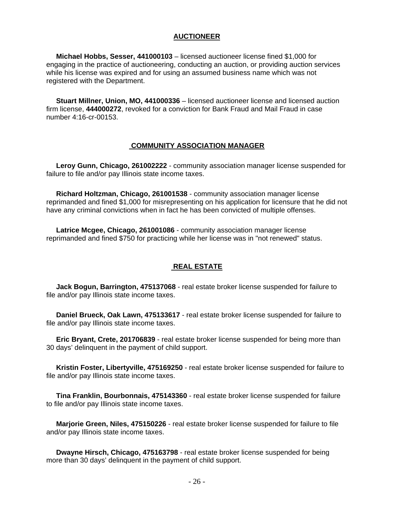#### **AUCTIONEER**

 **Michael Hobbs, Sesser, 441000103** – licensed auctioneer license fined \$1,000 for engaging in the practice of auctioneering, conducting an auction, or providing auction services while his license was expired and for using an assumed business name which was not registered with the Department.

 **Stuart Millner, Union, MO, 441000336** – licensed auctioneer license and licensed auction firm license, **444000272**, revoked for a conviction for Bank Fraud and Mail Fraud in case number 4:16-cr-00153.

#### **COMMUNITY ASSOCIATION MANAGER**

 **Leroy Gunn, Chicago, 261002222** - community association manager license suspended for failure to file and/or pay Illinois state income taxes.

 **Richard Holtzman, Chicago, 261001538** - community association manager license reprimanded and fined \$1,000 for misrepresenting on his application for licensure that he did not have any criminal convictions when in fact he has been convicted of multiple offenses.

 **Latrice Mcgee, Chicago, 261001086** - community association manager license reprimanded and fined \$750 for practicing while her license was in "not renewed" status.

# **REAL ESTATE**

 **Jack Bogun, Barrington, 475137068** - real estate broker license suspended for failure to file and/or pay Illinois state income taxes.

 **Daniel Brueck, Oak Lawn, 475133617** - real estate broker license suspended for failure to file and/or pay Illinois state income taxes.

 **Eric Bryant, Crete, 201706839** - real estate broker license suspended for being more than 30 days' delinquent in the payment of child support.

 **Kristin Foster, Libertyville, 475169250** - real estate broker license suspended for failure to file and/or pay Illinois state income taxes.

 **Tina Franklin, Bourbonnais, 475143360** - real estate broker license suspended for failure to file and/or pay Illinois state income taxes.

 **Marjorie Green, Niles, 475150226** - real estate broker license suspended for failure to file and/or pay Illinois state income taxes.

 **Dwayne Hirsch, Chicago, 475163798** - real estate broker license suspended for being more than 30 days' delinquent in the payment of child support.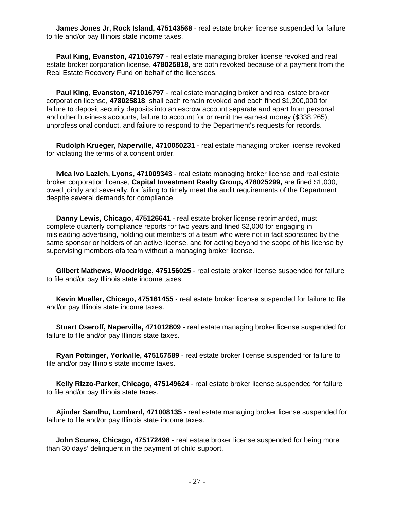**James Jones Jr, Rock Island, 475143568** - real estate broker license suspended for failure to file and/or pay Illinois state income taxes.

 **Paul King, Evanston, 471016797** - real estate managing broker license revoked and real estate broker corporation license, **478025818**, are both revoked because of a payment from the Real Estate Recovery Fund on behalf of the licensees.

 **Paul King, Evanston, 471016797** - real estate managing broker and real estate broker corporation license, **478025818**, shall each remain revoked and each fined \$1,200,000 for failure to deposit security deposits into an escrow account separate and apart from personal and other business accounts, failure to account for or remit the earnest money (\$338,265); unprofessional conduct, and failure to respond to the Department's requests for records.

 **Rudolph Krueger, Naperville, 4710050231** - real estate managing broker license revoked for violating the terms of a consent order.

 **Ivica Ivo Lazich, Lyons, 471009343** - real estate managing broker license and real estate broker corporation license, **Capital Investment Realty Group, 478025299,** are fined \$1,000, owed jointly and severally, for failing to timely meet the audit requirements of the Department despite several demands for compliance.

 **Danny Lewis, Chicago, 475126641** - real estate broker license reprimanded, must complete quarterly compliance reports for two years and fined \$2,000 for engaging in misleading advertising, holding out members of a team who were not in fact sponsored by the same sponsor or holders of an active license, and for acting beyond the scope of his license by supervising members ofa team without a managing broker license.

 **Gilbert Mathews, Woodridge, 475156025** - real estate broker license suspended for failure to file and/or pay Illinois state income taxes.

 **Kevin Mueller, Chicago, 475161455** - real estate broker license suspended for failure to file and/or pay Illinois state income taxes.

 **Stuart Oseroff, Naperville, 471012809** - real estate managing broker license suspended for failure to file and/or pay Illinois state taxes.

 **Ryan Pottinger, Yorkville, 475167589** - real estate broker license suspended for failure to file and/or pay Illinois state income taxes.

 **Kelly Rizzo-Parker, Chicago, 475149624** - real estate broker license suspended for failure to file and/or pay Illinois state taxes.

 **Ajinder Sandhu, Lombard, 471008135** - real estate managing broker license suspended for failure to file and/or pay Illinois state income taxes.

 **John Scuras, Chicago, 475172498** - real estate broker license suspended for being more than 30 days' delinquent in the payment of child support.